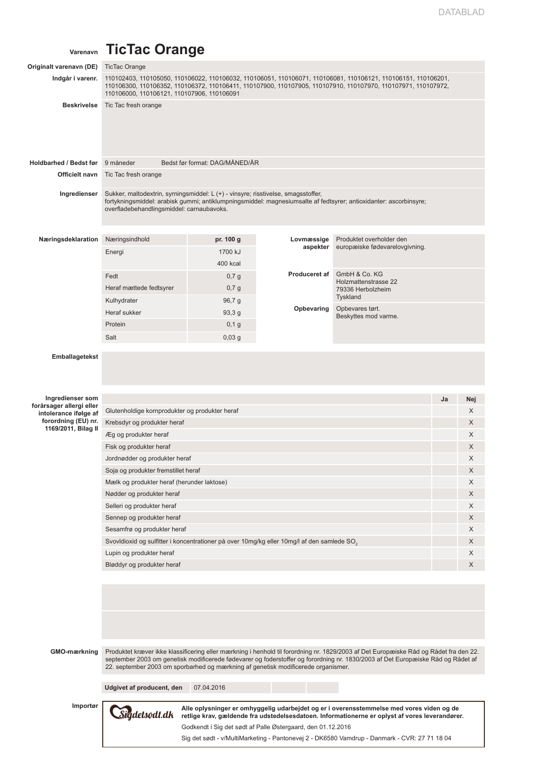## **Varenavn TicTac Orange**

| Originalt varenavn (DE)                      | <b>TicTac Orange</b>                                                                                                                                                                                                                                                         |                                |                                                             |                                                                                                                                                                                                                                                                          |    |          |  |  |  |
|----------------------------------------------|------------------------------------------------------------------------------------------------------------------------------------------------------------------------------------------------------------------------------------------------------------------------------|--------------------------------|-------------------------------------------------------------|--------------------------------------------------------------------------------------------------------------------------------------------------------------------------------------------------------------------------------------------------------------------------|----|----------|--|--|--|
| Indgår i varenr.                             | 110102403, 110105050, 110106022, 110106032, 110106051, 110106071, 110106081, 110106121, 110106151, 110106201,<br>110106300, 110106352, 110106372, 110106411, 110107900, 110107905, 110107910, 110107970, 110107971, 110107972,<br>110106000, 110106121, 110107906, 110106091 |                                |                                                             |                                                                                                                                                                                                                                                                          |    |          |  |  |  |
| <b>Beskrivelse</b>                           | Tic Tac fresh orange                                                                                                                                                                                                                                                         |                                |                                                             |                                                                                                                                                                                                                                                                          |    |          |  |  |  |
| Holdbarhed / Bedst før                       | 9 måneder                                                                                                                                                                                                                                                                    | Bedst før format: DAG/MÅNED/ÅR |                                                             |                                                                                                                                                                                                                                                                          |    |          |  |  |  |
| Officielt navn                               | Tic Tac fresh orange                                                                                                                                                                                                                                                         |                                |                                                             |                                                                                                                                                                                                                                                                          |    |          |  |  |  |
| Ingredienser                                 | Sukker, maltodextrin, syrningsmiddel: L (+) - vinsyre; risstivelse, smagsstoffer,<br>fortykningsmiddel: arabisk gummi; antiklumpningsmiddel: magnesiumsalte af fedtsyrer; antioxidanter: ascorbinsyre;<br>overfladebehandlingsmiddel: carnaubavoks.                          |                                |                                                             |                                                                                                                                                                                                                                                                          |    |          |  |  |  |
| Næringsdeklaration                           | Næringsindhold                                                                                                                                                                                                                                                               | pr. 100 g                      | Lovmæssige                                                  | Produktet overholder den                                                                                                                                                                                                                                                 |    |          |  |  |  |
|                                              | Energi                                                                                                                                                                                                                                                                       | 1700 kJ                        | aspekter                                                    | europæiske fødevarelovgivning.                                                                                                                                                                                                                                           |    |          |  |  |  |
|                                              |                                                                                                                                                                                                                                                                              | 400 kcal                       |                                                             |                                                                                                                                                                                                                                                                          |    |          |  |  |  |
|                                              | Fedt                                                                                                                                                                                                                                                                         | 0,7g                           | Produceret af                                               | GmbH & Co. KG                                                                                                                                                                                                                                                            |    |          |  |  |  |
|                                              | Heraf mættede fedtsyrer                                                                                                                                                                                                                                                      | $0,7$ g                        |                                                             | Holzmattenstrasse 22<br>79336 Herbolzheim<br>Tyskland                                                                                                                                                                                                                    |    |          |  |  |  |
|                                              | Kulhydrater                                                                                                                                                                                                                                                                  | 96,7 g                         | Opbevaring                                                  | Opbevares tørt.                                                                                                                                                                                                                                                          |    |          |  |  |  |
|                                              | Heraf sukker                                                                                                                                                                                                                                                                 | 93,3g                          |                                                             | Beskyttes mod varme.                                                                                                                                                                                                                                                     |    |          |  |  |  |
|                                              | Protein                                                                                                                                                                                                                                                                      | $0,1$ g                        |                                                             |                                                                                                                                                                                                                                                                          |    |          |  |  |  |
|                                              | Salt                                                                                                                                                                                                                                                                         | 0,03g                          |                                                             |                                                                                                                                                                                                                                                                          |    |          |  |  |  |
| <b>Emballagetekst</b>                        |                                                                                                                                                                                                                                                                              |                                |                                                             |                                                                                                                                                                                                                                                                          |    |          |  |  |  |
| Ingredienser som<br>forårsager allergi eller |                                                                                                                                                                                                                                                                              |                                |                                                             |                                                                                                                                                                                                                                                                          | Ja | Nej<br>X |  |  |  |
| intolerance ifølge af                        | Glutenholdige kornprodukter og produkter heraf                                                                                                                                                                                                                               |                                |                                                             |                                                                                                                                                                                                                                                                          |    |          |  |  |  |
| forordning (EU) nr.<br>1169/2011, Bilag II   | Krebsdyr og produkter heraf                                                                                                                                                                                                                                                  |                                |                                                             |                                                                                                                                                                                                                                                                          |    |          |  |  |  |
|                                              | Æg og produkter heraf                                                                                                                                                                                                                                                        |                                |                                                             |                                                                                                                                                                                                                                                                          |    |          |  |  |  |
|                                              | X<br>Fisk og produkter heraf                                                                                                                                                                                                                                                 |                                |                                                             |                                                                                                                                                                                                                                                                          |    |          |  |  |  |
|                                              | X<br>Jordnødder og produkter heraf                                                                                                                                                                                                                                           |                                |                                                             |                                                                                                                                                                                                                                                                          |    |          |  |  |  |
|                                              | Soja og produkter fremstillet heraf<br>Х<br>Mælk og produkter heraf (herunder laktose)<br>X                                                                                                                                                                                  |                                |                                                             |                                                                                                                                                                                                                                                                          |    |          |  |  |  |
|                                              |                                                                                                                                                                                                                                                                              |                                |                                                             |                                                                                                                                                                                                                                                                          |    |          |  |  |  |
|                                              | X<br>Nødder og produkter heraf                                                                                                                                                                                                                                               |                                |                                                             |                                                                                                                                                                                                                                                                          |    |          |  |  |  |
|                                              | X<br>Selleri og produkter heraf                                                                                                                                                                                                                                              |                                |                                                             |                                                                                                                                                                                                                                                                          |    |          |  |  |  |
|                                              | Sennep og produkter heraf                                                                                                                                                                                                                                                    |                                |                                                             |                                                                                                                                                                                                                                                                          |    | X<br>X   |  |  |  |
|                                              | Sesamfrø og produkter heraf                                                                                                                                                                                                                                                  |                                |                                                             |                                                                                                                                                                                                                                                                          |    |          |  |  |  |
|                                              | Svovldioxid og sulfitter i koncentrationer på over 10mg/kg eller 10mg/l af den samlede SO <sub>3</sub><br>X<br>X                                                                                                                                                             |                                |                                                             |                                                                                                                                                                                                                                                                          |    |          |  |  |  |
|                                              | Lupin og produkter heraf<br>X<br>Bløddyr og produkter heraf                                                                                                                                                                                                                  |                                |                                                             |                                                                                                                                                                                                                                                                          |    |          |  |  |  |
|                                              |                                                                                                                                                                                                                                                                              |                                |                                                             |                                                                                                                                                                                                                                                                          |    |          |  |  |  |
| GMO-mærkning                                 | 22. september 2003 om sporbarhed og mærkning af genetisk modificerede organismer.                                                                                                                                                                                            |                                |                                                             | Produktet kræver ikke klassificering eller mærkning i henhold til forordning nr. 1829/2003 af Det Europæiske Råd og Rådet fra den 22.<br>september 2003 om genetisk modificerede fødevarer og foderstoffer og forordning nr. 1830/2003 af Det Europæiske Råd og Rådet af |    |          |  |  |  |
|                                              | Udgivet af producent, den                                                                                                                                                                                                                                                    | 07.04.2016                     |                                                             |                                                                                                                                                                                                                                                                          |    |          |  |  |  |
| Importør                                     | Sigdetsødt.dk                                                                                                                                                                                                                                                                |                                | Godkendt i Sig det sødt af Palle Østergaard, den 01.12.2016 | Alle oplysninger er omhyggelig udarbejdet og er i overensstemmelse med vores viden og de<br>retlige krav, gældende fra udstedelsesdatoen. Informationerne er oplyst af vores leverandører.                                                                               |    |          |  |  |  |
|                                              |                                                                                                                                                                                                                                                                              |                                |                                                             | Sig det sødt - v/MultiMarketing - Pantonevej 2 - DK6580 Vamdrup - Danmark - CVR: 27 71 18 04                                                                                                                                                                             |    |          |  |  |  |
|                                              |                                                                                                                                                                                                                                                                              |                                |                                                             |                                                                                                                                                                                                                                                                          |    |          |  |  |  |